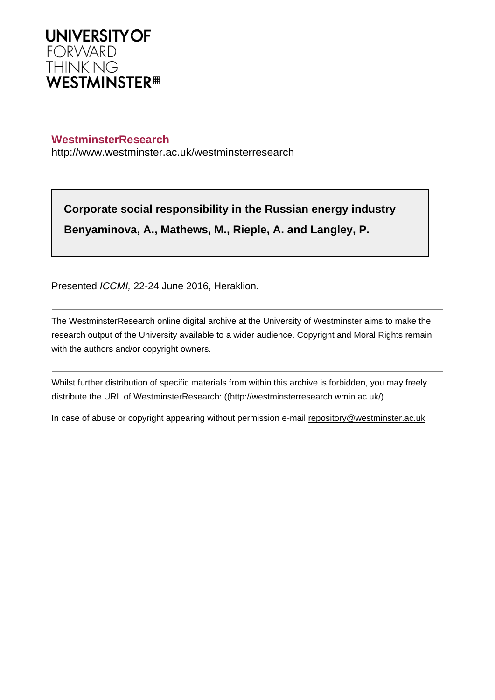

## **WestminsterResearch**

http://www.westminster.ac.uk/westminsterresearch

**Corporate social responsibility in the Russian energy industry Benyaminova, A., Mathews, M., Rieple, A. and Langley, P.**

Presented ICCMI, 22-24 June 2016, Heraklion.

The WestminsterResearch online digital archive at the University of Westminster aims to make the research output of the University available to a wider audience. Copyright and Moral Rights remain with the authors and/or copyright owners.

Whilst further distribution of specific materials from within this archive is forbidden, you may freely distribute the URL of WestminsterResearch: [\(\(http://westminsterresearch.wmin.ac.uk/](http://westminsterresearch.wmin.ac.uk/)).

In case of abuse or copyright appearing without permission e-mail <repository@westminster.ac.uk>